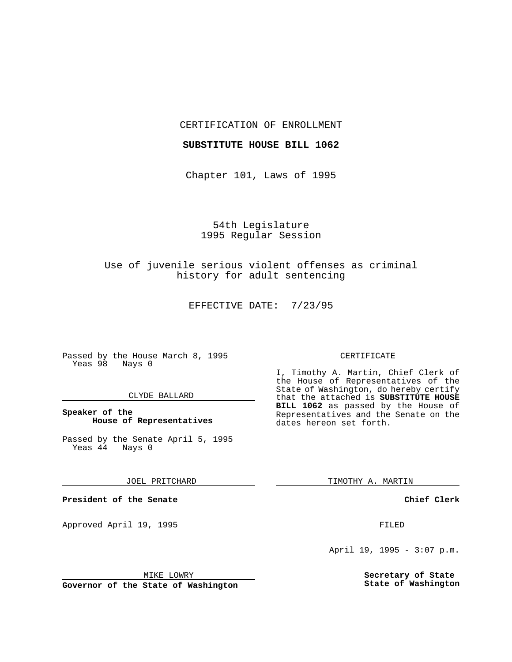CERTIFICATION OF ENROLLMENT

#### **SUBSTITUTE HOUSE BILL 1062**

Chapter 101, Laws of 1995

54th Legislature 1995 Regular Session

Use of juvenile serious violent offenses as criminal history for adult sentencing

EFFECTIVE DATE: 7/23/95

Passed by the House March 8, 1995 Yeas 98 Nays 0

### CLYDE BALLARD

**Speaker of the House of Representatives**

Passed by the Senate April 5, 1995<br>Yeas 44 Nays 0  $Yeas$  44

JOEL PRITCHARD

**President of the Senate**

Approved April 19, 1995 FILED

#### MIKE LOWRY

**Governor of the State of Washington**

#### CERTIFICATE

I, Timothy A. Martin, Chief Clerk of the House of Representatives of the State of Washington, do hereby certify that the attached is **SUBSTITUTE HOUSE BILL 1062** as passed by the House of Representatives and the Senate on the dates hereon set forth.

TIMOTHY A. MARTIN

**Chief Clerk**

April 19, 1995 - 3:07 p.m.

**Secretary of State State of Washington**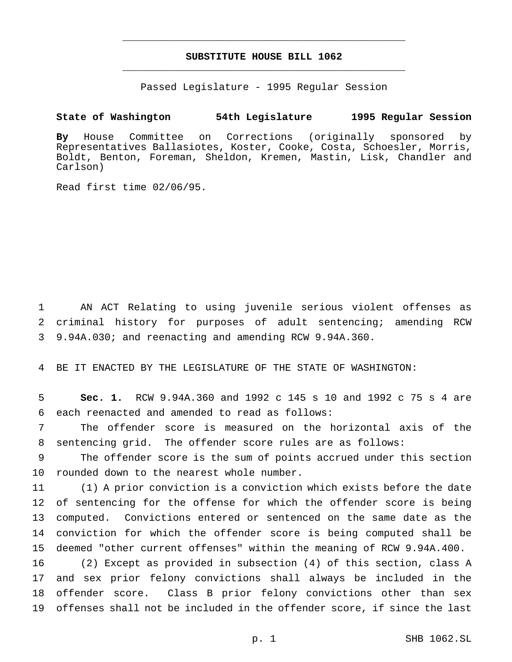# **SUBSTITUTE HOUSE BILL 1062** \_\_\_\_\_\_\_\_\_\_\_\_\_\_\_\_\_\_\_\_\_\_\_\_\_\_\_\_\_\_\_\_\_\_\_\_\_\_\_\_\_\_\_\_\_\_\_

\_\_\_\_\_\_\_\_\_\_\_\_\_\_\_\_\_\_\_\_\_\_\_\_\_\_\_\_\_\_\_\_\_\_\_\_\_\_\_\_\_\_\_\_\_\_\_

Passed Legislature - 1995 Regular Session

## **State of Washington 54th Legislature 1995 Regular Session**

**By** House Committee on Corrections (originally sponsored by Representatives Ballasiotes, Koster, Cooke, Costa, Schoesler, Morris, Boldt, Benton, Foreman, Sheldon, Kremen, Mastin, Lisk, Chandler and Carlson)

Read first time 02/06/95.

 AN ACT Relating to using juvenile serious violent offenses as criminal history for purposes of adult sentencing; amending RCW 9.94A.030; and reenacting and amending RCW 9.94A.360.

BE IT ENACTED BY THE LEGISLATURE OF THE STATE OF WASHINGTON:

 **Sec. 1.** RCW 9.94A.360 and 1992 c 145 s 10 and 1992 c 75 s 4 are each reenacted and amended to read as follows:

 The offender score is measured on the horizontal axis of the sentencing grid. The offender score rules are as follows:

 The offender score is the sum of points accrued under this section rounded down to the nearest whole number.

 (1) A prior conviction is a conviction which exists before the date of sentencing for the offense for which the offender score is being computed. Convictions entered or sentenced on the same date as the conviction for which the offender score is being computed shall be deemed "other current offenses" within the meaning of RCW 9.94A.400.

 (2) Except as provided in subsection (4) of this section, class A and sex prior felony convictions shall always be included in the offender score. Class B prior felony convictions other than sex offenses shall not be included in the offender score, if since the last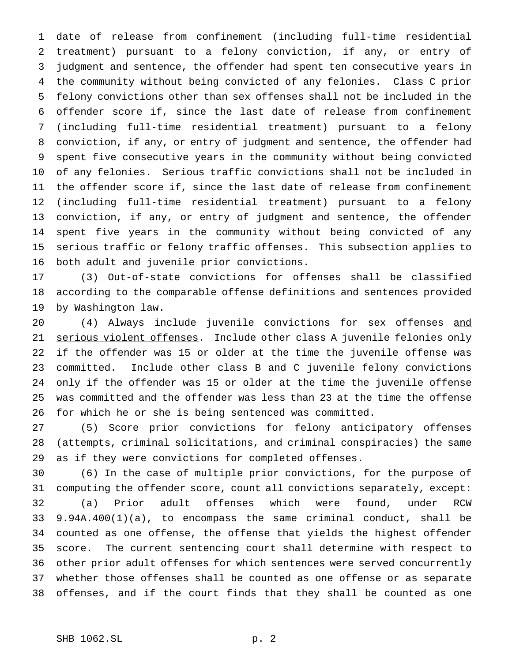date of release from confinement (including full-time residential treatment) pursuant to a felony conviction, if any, or entry of judgment and sentence, the offender had spent ten consecutive years in the community without being convicted of any felonies. Class C prior felony convictions other than sex offenses shall not be included in the offender score if, since the last date of release from confinement (including full-time residential treatment) pursuant to a felony conviction, if any, or entry of judgment and sentence, the offender had spent five consecutive years in the community without being convicted of any felonies. Serious traffic convictions shall not be included in the offender score if, since the last date of release from confinement (including full-time residential treatment) pursuant to a felony conviction, if any, or entry of judgment and sentence, the offender spent five years in the community without being convicted of any serious traffic or felony traffic offenses. This subsection applies to both adult and juvenile prior convictions.

 (3) Out-of-state convictions for offenses shall be classified according to the comparable offense definitions and sentences provided by Washington law.

 (4) Always include juvenile convictions for sex offenses and 21 serious violent offenses. Include other class A juvenile felonies only if the offender was 15 or older at the time the juvenile offense was committed. Include other class B and C juvenile felony convictions only if the offender was 15 or older at the time the juvenile offense was committed and the offender was less than 23 at the time the offense for which he or she is being sentenced was committed.

 (5) Score prior convictions for felony anticipatory offenses (attempts, criminal solicitations, and criminal conspiracies) the same as if they were convictions for completed offenses.

 (6) In the case of multiple prior convictions, for the purpose of computing the offender score, count all convictions separately, except: (a) Prior adult offenses which were found, under RCW 9.94A.400(1)(a), to encompass the same criminal conduct, shall be counted as one offense, the offense that yields the highest offender score. The current sentencing court shall determine with respect to other prior adult offenses for which sentences were served concurrently whether those offenses shall be counted as one offense or as separate offenses, and if the court finds that they shall be counted as one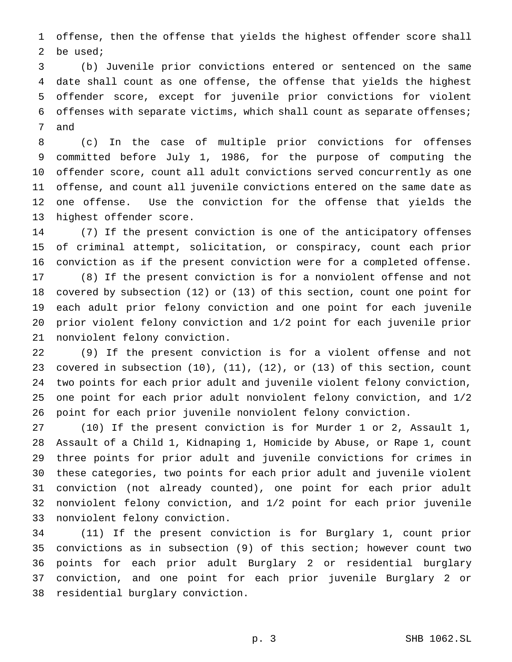offense, then the offense that yields the highest offender score shall be used;

 (b) Juvenile prior convictions entered or sentenced on the same date shall count as one offense, the offense that yields the highest offender score, except for juvenile prior convictions for violent offenses with separate victims, which shall count as separate offenses; and

 (c) In the case of multiple prior convictions for offenses committed before July 1, 1986, for the purpose of computing the offender score, count all adult convictions served concurrently as one offense, and count all juvenile convictions entered on the same date as one offense. Use the conviction for the offense that yields the highest offender score.

 (7) If the present conviction is one of the anticipatory offenses of criminal attempt, solicitation, or conspiracy, count each prior conviction as if the present conviction were for a completed offense. (8) If the present conviction is for a nonviolent offense and not covered by subsection (12) or (13) of this section, count one point for each adult prior felony conviction and one point for each juvenile prior violent felony conviction and 1/2 point for each juvenile prior nonviolent felony conviction.

 (9) If the present conviction is for a violent offense and not covered in subsection (10), (11), (12), or (13) of this section, count two points for each prior adult and juvenile violent felony conviction, one point for each prior adult nonviolent felony conviction, and 1/2 point for each prior juvenile nonviolent felony conviction.

 (10) If the present conviction is for Murder 1 or 2, Assault 1, Assault of a Child 1, Kidnaping 1, Homicide by Abuse, or Rape 1, count three points for prior adult and juvenile convictions for crimes in these categories, two points for each prior adult and juvenile violent conviction (not already counted), one point for each prior adult nonviolent felony conviction, and 1/2 point for each prior juvenile nonviolent felony conviction.

 (11) If the present conviction is for Burglary 1, count prior convictions as in subsection (9) of this section; however count two points for each prior adult Burglary 2 or residential burglary conviction, and one point for each prior juvenile Burglary 2 or residential burglary conviction.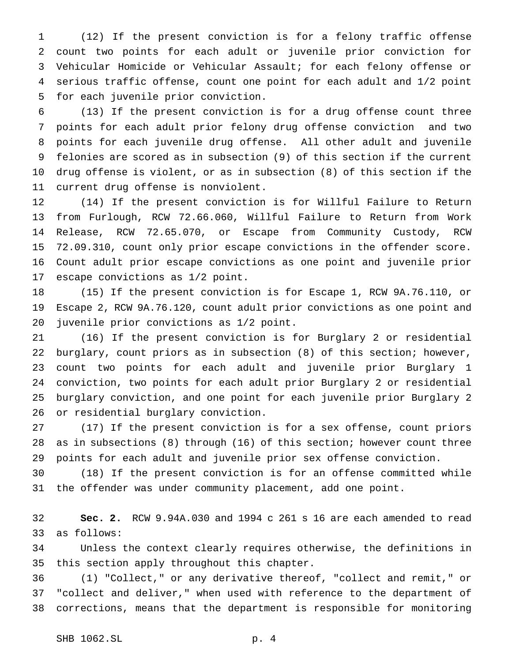(12) If the present conviction is for a felony traffic offense count two points for each adult or juvenile prior conviction for Vehicular Homicide or Vehicular Assault; for each felony offense or serious traffic offense, count one point for each adult and 1/2 point for each juvenile prior conviction.

 (13) If the present conviction is for a drug offense count three points for each adult prior felony drug offense conviction and two points for each juvenile drug offense. All other adult and juvenile felonies are scored as in subsection (9) of this section if the current drug offense is violent, or as in subsection (8) of this section if the current drug offense is nonviolent.

 (14) If the present conviction is for Willful Failure to Return from Furlough, RCW 72.66.060, Willful Failure to Return from Work Release, RCW 72.65.070, or Escape from Community Custody, RCW 72.09.310, count only prior escape convictions in the offender score. Count adult prior escape convictions as one point and juvenile prior escape convictions as 1/2 point.

 (15) If the present conviction is for Escape 1, RCW 9A.76.110, or Escape 2, RCW 9A.76.120, count adult prior convictions as one point and juvenile prior convictions as 1/2 point.

 (16) If the present conviction is for Burglary 2 or residential burglary, count priors as in subsection (8) of this section; however, count two points for each adult and juvenile prior Burglary 1 conviction, two points for each adult prior Burglary 2 or residential burglary conviction, and one point for each juvenile prior Burglary 2 or residential burglary conviction.

 (17) If the present conviction is for a sex offense, count priors as in subsections (8) through (16) of this section; however count three points for each adult and juvenile prior sex offense conviction.

 (18) If the present conviction is for an offense committed while the offender was under community placement, add one point.

 **Sec. 2.** RCW 9.94A.030 and 1994 c 261 s 16 are each amended to read as follows:

 Unless the context clearly requires otherwise, the definitions in this section apply throughout this chapter.

 (1) "Collect," or any derivative thereof, "collect and remit," or "collect and deliver," when used with reference to the department of corrections, means that the department is responsible for monitoring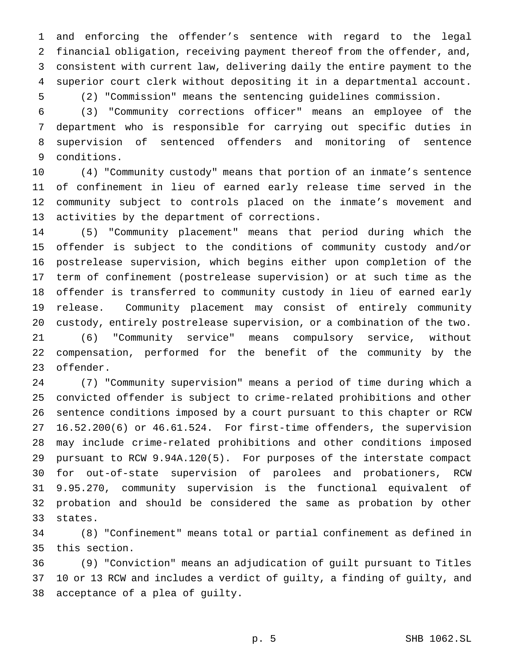and enforcing the offender's sentence with regard to the legal financial obligation, receiving payment thereof from the offender, and, consistent with current law, delivering daily the entire payment to the superior court clerk without depositing it in a departmental account. (2) "Commission" means the sentencing guidelines commission.

 (3) "Community corrections officer" means an employee of the department who is responsible for carrying out specific duties in supervision of sentenced offenders and monitoring of sentence conditions.

 (4) "Community custody" means that portion of an inmate's sentence of confinement in lieu of earned early release time served in the community subject to controls placed on the inmate's movement and activities by the department of corrections.

 (5) "Community placement" means that period during which the offender is subject to the conditions of community custody and/or postrelease supervision, which begins either upon completion of the term of confinement (postrelease supervision) or at such time as the offender is transferred to community custody in lieu of earned early release. Community placement may consist of entirely community custody, entirely postrelease supervision, or a combination of the two. (6) "Community service" means compulsory service, without compensation, performed for the benefit of the community by the offender.

 (7) "Community supervision" means a period of time during which a convicted offender is subject to crime-related prohibitions and other sentence conditions imposed by a court pursuant to this chapter or RCW 16.52.200(6) or 46.61.524. For first-time offenders, the supervision may include crime-related prohibitions and other conditions imposed pursuant to RCW 9.94A.120(5). For purposes of the interstate compact for out-of-state supervision of parolees and probationers, RCW 9.95.270, community supervision is the functional equivalent of probation and should be considered the same as probation by other states.

 (8) "Confinement" means total or partial confinement as defined in this section.

 (9) "Conviction" means an adjudication of guilt pursuant to Titles 10 or 13 RCW and includes a verdict of guilty, a finding of guilty, and acceptance of a plea of guilty.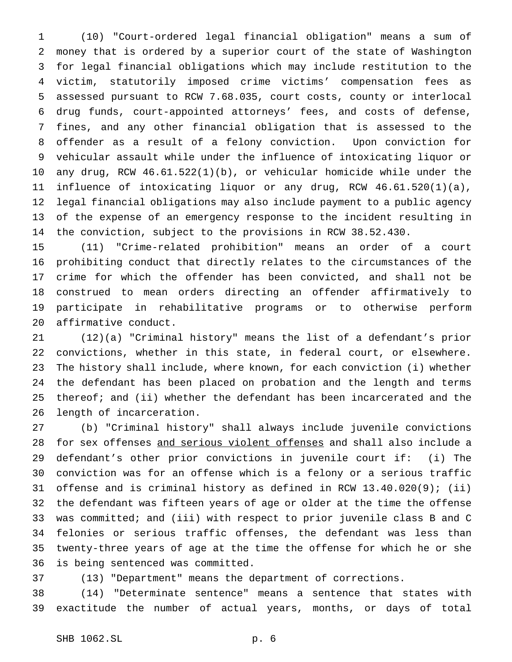(10) "Court-ordered legal financial obligation" means a sum of money that is ordered by a superior court of the state of Washington for legal financial obligations which may include restitution to the victim, statutorily imposed crime victims' compensation fees as assessed pursuant to RCW 7.68.035, court costs, county or interlocal drug funds, court-appointed attorneys' fees, and costs of defense, fines, and any other financial obligation that is assessed to the offender as a result of a felony conviction. Upon conviction for vehicular assault while under the influence of intoxicating liquor or any drug, RCW 46.61.522(1)(b), or vehicular homicide while under the influence of intoxicating liquor or any drug, RCW 46.61.520(1)(a), legal financial obligations may also include payment to a public agency of the expense of an emergency response to the incident resulting in the conviction, subject to the provisions in RCW 38.52.430.

 (11) "Crime-related prohibition" means an order of a court prohibiting conduct that directly relates to the circumstances of the crime for which the offender has been convicted, and shall not be construed to mean orders directing an offender affirmatively to participate in rehabilitative programs or to otherwise perform affirmative conduct.

 (12)(a) "Criminal history" means the list of a defendant's prior convictions, whether in this state, in federal court, or elsewhere. The history shall include, where known, for each conviction (i) whether the defendant has been placed on probation and the length and terms thereof; and (ii) whether the defendant has been incarcerated and the length of incarceration.

 (b) "Criminal history" shall always include juvenile convictions for sex offenses and serious violent offenses and shall also include a defendant's other prior convictions in juvenile court if: (i) The conviction was for an offense which is a felony or a serious traffic offense and is criminal history as defined in RCW 13.40.020(9); (ii) the defendant was fifteen years of age or older at the time the offense was committed; and (iii) with respect to prior juvenile class B and C felonies or serious traffic offenses, the defendant was less than twenty-three years of age at the time the offense for which he or she is being sentenced was committed.

(13) "Department" means the department of corrections.

 (14) "Determinate sentence" means a sentence that states with exactitude the number of actual years, months, or days of total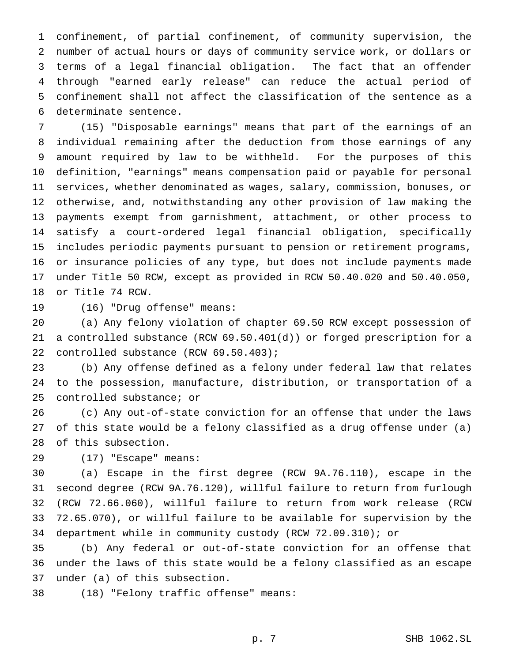confinement, of partial confinement, of community supervision, the number of actual hours or days of community service work, or dollars or terms of a legal financial obligation. The fact that an offender through "earned early release" can reduce the actual period of confinement shall not affect the classification of the sentence as a determinate sentence.

 (15) "Disposable earnings" means that part of the earnings of an individual remaining after the deduction from those earnings of any amount required by law to be withheld. For the purposes of this definition, "earnings" means compensation paid or payable for personal services, whether denominated as wages, salary, commission, bonuses, or otherwise, and, notwithstanding any other provision of law making the payments exempt from garnishment, attachment, or other process to satisfy a court-ordered legal financial obligation, specifically includes periodic payments pursuant to pension or retirement programs, or insurance policies of any type, but does not include payments made under Title 50 RCW, except as provided in RCW 50.40.020 and 50.40.050, or Title 74 RCW.

(16) "Drug offense" means:

 (a) Any felony violation of chapter 69.50 RCW except possession of a controlled substance (RCW 69.50.401(d)) or forged prescription for a controlled substance (RCW 69.50.403);

 (b) Any offense defined as a felony under federal law that relates to the possession, manufacture, distribution, or transportation of a controlled substance; or

 (c) Any out-of-state conviction for an offense that under the laws of this state would be a felony classified as a drug offense under (a) of this subsection.

(17) "Escape" means:

 (a) Escape in the first degree (RCW 9A.76.110), escape in the second degree (RCW 9A.76.120), willful failure to return from furlough (RCW 72.66.060), willful failure to return from work release (RCW 72.65.070), or willful failure to be available for supervision by the department while in community custody (RCW 72.09.310); or

 (b) Any federal or out-of-state conviction for an offense that under the laws of this state would be a felony classified as an escape under (a) of this subsection.

(18) "Felony traffic offense" means: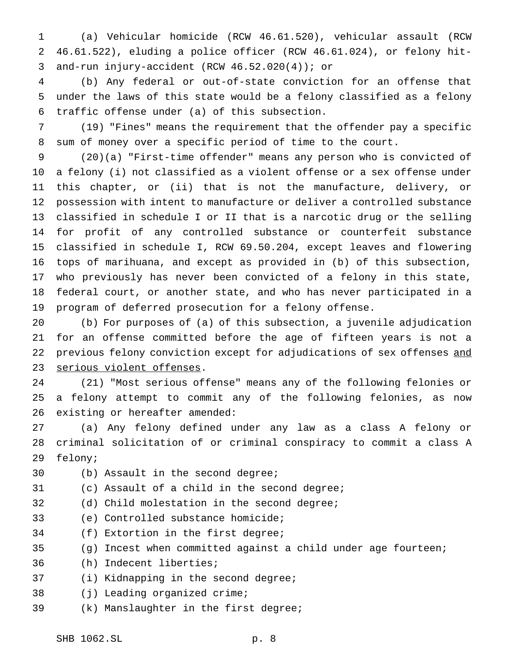(a) Vehicular homicide (RCW 46.61.520), vehicular assault (RCW 46.61.522), eluding a police officer (RCW 46.61.024), or felony hit-and-run injury-accident (RCW 46.52.020(4)); or

 (b) Any federal or out-of-state conviction for an offense that under the laws of this state would be a felony classified as a felony traffic offense under (a) of this subsection.

 (19) "Fines" means the requirement that the offender pay a specific sum of money over a specific period of time to the court.

 (20)(a) "First-time offender" means any person who is convicted of a felony (i) not classified as a violent offense or a sex offense under this chapter, or (ii) that is not the manufacture, delivery, or possession with intent to manufacture or deliver a controlled substance classified in schedule I or II that is a narcotic drug or the selling for profit of any controlled substance or counterfeit substance classified in schedule I, RCW 69.50.204, except leaves and flowering tops of marihuana, and except as provided in (b) of this subsection, who previously has never been convicted of a felony in this state, federal court, or another state, and who has never participated in a program of deferred prosecution for a felony offense.

 (b) For purposes of (a) of this subsection, a juvenile adjudication for an offense committed before the age of fifteen years is not a 22 previous felony conviction except for adjudications of sex offenses and serious violent offenses.

 (21) "Most serious offense" means any of the following felonies or a felony attempt to commit any of the following felonies, as now existing or hereafter amended:

 (a) Any felony defined under any law as a class A felony or criminal solicitation of or criminal conspiracy to commit a class A felony;

- (b) Assault in the second degree;
- (c) Assault of a child in the second degree;
- (d) Child molestation in the second degree;
- (e) Controlled substance homicide;
- (f) Extortion in the first degree;
- (g) Incest when committed against a child under age fourteen;
- (h) Indecent liberties;
- (i) Kidnapping in the second degree;
- (j) Leading organized crime;
- (k) Manslaughter in the first degree;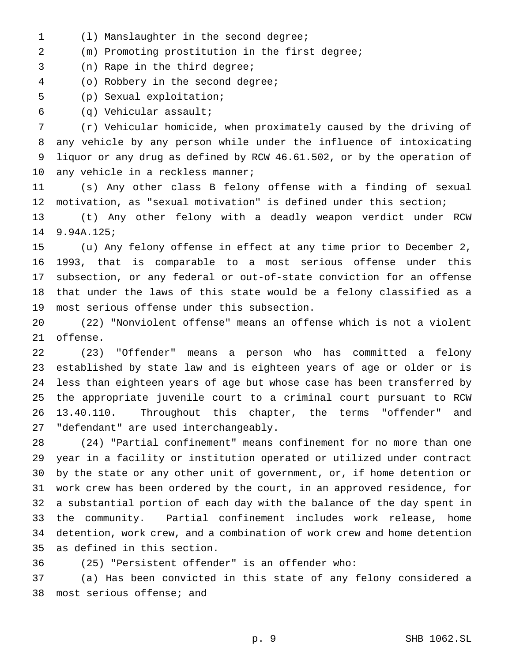(l) Manslaughter in the second degree;

(m) Promoting prostitution in the first degree;

(n) Rape in the third degree;

(o) Robbery in the second degree;

(p) Sexual exploitation;

(q) Vehicular assault;

 (r) Vehicular homicide, when proximately caused by the driving of any vehicle by any person while under the influence of intoxicating liquor or any drug as defined by RCW 46.61.502, or by the operation of 10 any vehicle in a reckless manner;

 (s) Any other class B felony offense with a finding of sexual motivation, as "sexual motivation" is defined under this section;

 (t) Any other felony with a deadly weapon verdict under RCW 9.94A.125;

 (u) Any felony offense in effect at any time prior to December 2, 1993, that is comparable to a most serious offense under this subsection, or any federal or out-of-state conviction for an offense that under the laws of this state would be a felony classified as a most serious offense under this subsection.

 (22) "Nonviolent offense" means an offense which is not a violent offense.

 (23) "Offender" means a person who has committed a felony established by state law and is eighteen years of age or older or is less than eighteen years of age but whose case has been transferred by the appropriate juvenile court to a criminal court pursuant to RCW 13.40.110. Throughout this chapter, the terms "offender" and "defendant" are used interchangeably.

 (24) "Partial confinement" means confinement for no more than one year in a facility or institution operated or utilized under contract by the state or any other unit of government, or, if home detention or work crew has been ordered by the court, in an approved residence, for a substantial portion of each day with the balance of the day spent in the community. Partial confinement includes work release, home detention, work crew, and a combination of work crew and home detention as defined in this section.

(25) "Persistent offender" is an offender who:

 (a) Has been convicted in this state of any felony considered a most serious offense; and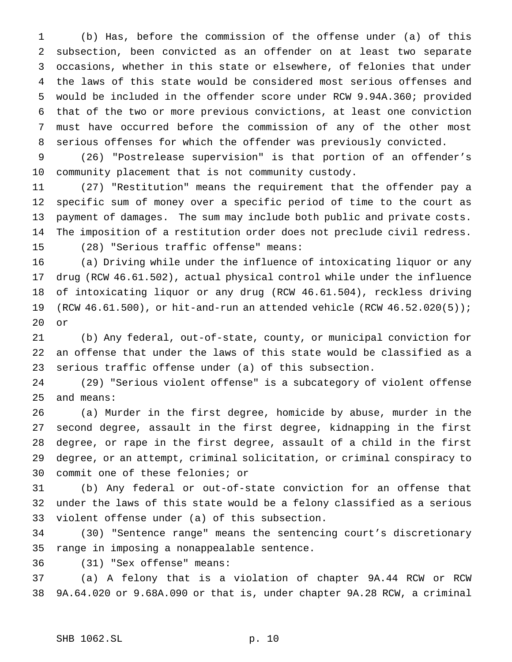(b) Has, before the commission of the offense under (a) of this subsection, been convicted as an offender on at least two separate occasions, whether in this state or elsewhere, of felonies that under the laws of this state would be considered most serious offenses and would be included in the offender score under RCW 9.94A.360; provided that of the two or more previous convictions, at least one conviction must have occurred before the commission of any of the other most serious offenses for which the offender was previously convicted.

 (26) "Postrelease supervision" is that portion of an offender's community placement that is not community custody.

 (27) "Restitution" means the requirement that the offender pay a specific sum of money over a specific period of time to the court as payment of damages. The sum may include both public and private costs. The imposition of a restitution order does not preclude civil redress. (28) "Serious traffic offense" means:

 (a) Driving while under the influence of intoxicating liquor or any drug (RCW 46.61.502), actual physical control while under the influence of intoxicating liquor or any drug (RCW 46.61.504), reckless driving (RCW 46.61.500), or hit-and-run an attended vehicle (RCW 46.52.020(5)); or

 (b) Any federal, out-of-state, county, or municipal conviction for an offense that under the laws of this state would be classified as a serious traffic offense under (a) of this subsection.

 (29) "Serious violent offense" is a subcategory of violent offense and means:

 (a) Murder in the first degree, homicide by abuse, murder in the second degree, assault in the first degree, kidnapping in the first degree, or rape in the first degree, assault of a child in the first degree, or an attempt, criminal solicitation, or criminal conspiracy to commit one of these felonies; or

 (b) Any federal or out-of-state conviction for an offense that under the laws of this state would be a felony classified as a serious violent offense under (a) of this subsection.

 (30) "Sentence range" means the sentencing court's discretionary range in imposing a nonappealable sentence.

(31) "Sex offense" means:

 (a) A felony that is a violation of chapter 9A.44 RCW or RCW 9A.64.020 or 9.68A.090 or that is, under chapter 9A.28 RCW, a criminal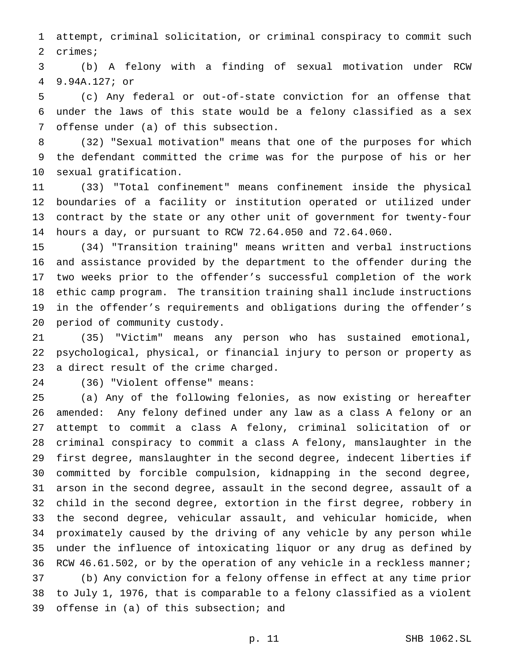attempt, criminal solicitation, or criminal conspiracy to commit such crimes;

 (b) A felony with a finding of sexual motivation under RCW 9.94A.127; or

 (c) Any federal or out-of-state conviction for an offense that under the laws of this state would be a felony classified as a sex offense under (a) of this subsection.

 (32) "Sexual motivation" means that one of the purposes for which the defendant committed the crime was for the purpose of his or her sexual gratification.

 (33) "Total confinement" means confinement inside the physical boundaries of a facility or institution operated or utilized under contract by the state or any other unit of government for twenty-four hours a day, or pursuant to RCW 72.64.050 and 72.64.060.

 (34) "Transition training" means written and verbal instructions and assistance provided by the department to the offender during the two weeks prior to the offender's successful completion of the work ethic camp program. The transition training shall include instructions in the offender's requirements and obligations during the offender's period of community custody.

 (35) "Victim" means any person who has sustained emotional, psychological, physical, or financial injury to person or property as a direct result of the crime charged.

(36) "Violent offense" means:

 (a) Any of the following felonies, as now existing or hereafter amended: Any felony defined under any law as a class A felony or an attempt to commit a class A felony, criminal solicitation of or criminal conspiracy to commit a class A felony, manslaughter in the first degree, manslaughter in the second degree, indecent liberties if committed by forcible compulsion, kidnapping in the second degree, arson in the second degree, assault in the second degree, assault of a child in the second degree, extortion in the first degree, robbery in the second degree, vehicular assault, and vehicular homicide, when proximately caused by the driving of any vehicle by any person while under the influence of intoxicating liquor or any drug as defined by 36 RCW 46.61.502, or by the operation of any vehicle in a reckless manner; (b) Any conviction for a felony offense in effect at any time prior to July 1, 1976, that is comparable to a felony classified as a violent offense in (a) of this subsection; and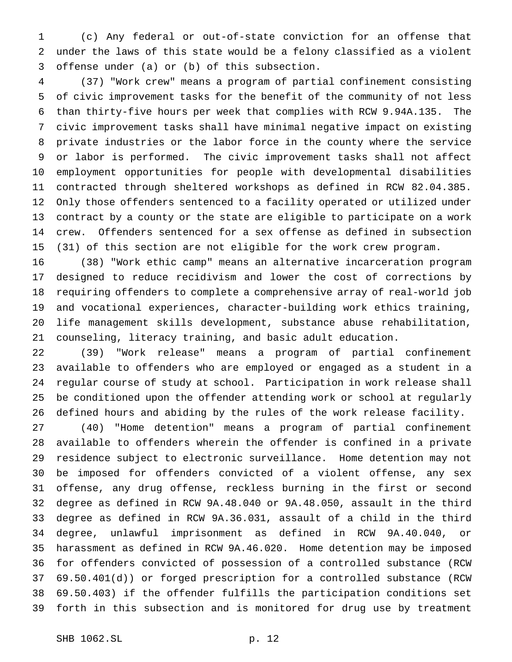(c) Any federal or out-of-state conviction for an offense that under the laws of this state would be a felony classified as a violent offense under (a) or (b) of this subsection.

 (37) "Work crew" means a program of partial confinement consisting of civic improvement tasks for the benefit of the community of not less than thirty-five hours per week that complies with RCW 9.94A.135. The civic improvement tasks shall have minimal negative impact on existing private industries or the labor force in the county where the service or labor is performed. The civic improvement tasks shall not affect employment opportunities for people with developmental disabilities contracted through sheltered workshops as defined in RCW 82.04.385. Only those offenders sentenced to a facility operated or utilized under contract by a county or the state are eligible to participate on a work crew. Offenders sentenced for a sex offense as defined in subsection (31) of this section are not eligible for the work crew program.

 (38) "Work ethic camp" means an alternative incarceration program designed to reduce recidivism and lower the cost of corrections by requiring offenders to complete a comprehensive array of real-world job and vocational experiences, character-building work ethics training, life management skills development, substance abuse rehabilitation, counseling, literacy training, and basic adult education.

 (39) "Work release" means a program of partial confinement available to offenders who are employed or engaged as a student in a regular course of study at school. Participation in work release shall be conditioned upon the offender attending work or school at regularly defined hours and abiding by the rules of the work release facility.

 (40) "Home detention" means a program of partial confinement available to offenders wherein the offender is confined in a private residence subject to electronic surveillance. Home detention may not be imposed for offenders convicted of a violent offense, any sex offense, any drug offense, reckless burning in the first or second degree as defined in RCW 9A.48.040 or 9A.48.050, assault in the third degree as defined in RCW 9A.36.031, assault of a child in the third degree, unlawful imprisonment as defined in RCW 9A.40.040, or harassment as defined in RCW 9A.46.020. Home detention may be imposed for offenders convicted of possession of a controlled substance (RCW 69.50.401(d)) or forged prescription for a controlled substance (RCW 69.50.403) if the offender fulfills the participation conditions set forth in this subsection and is monitored for drug use by treatment